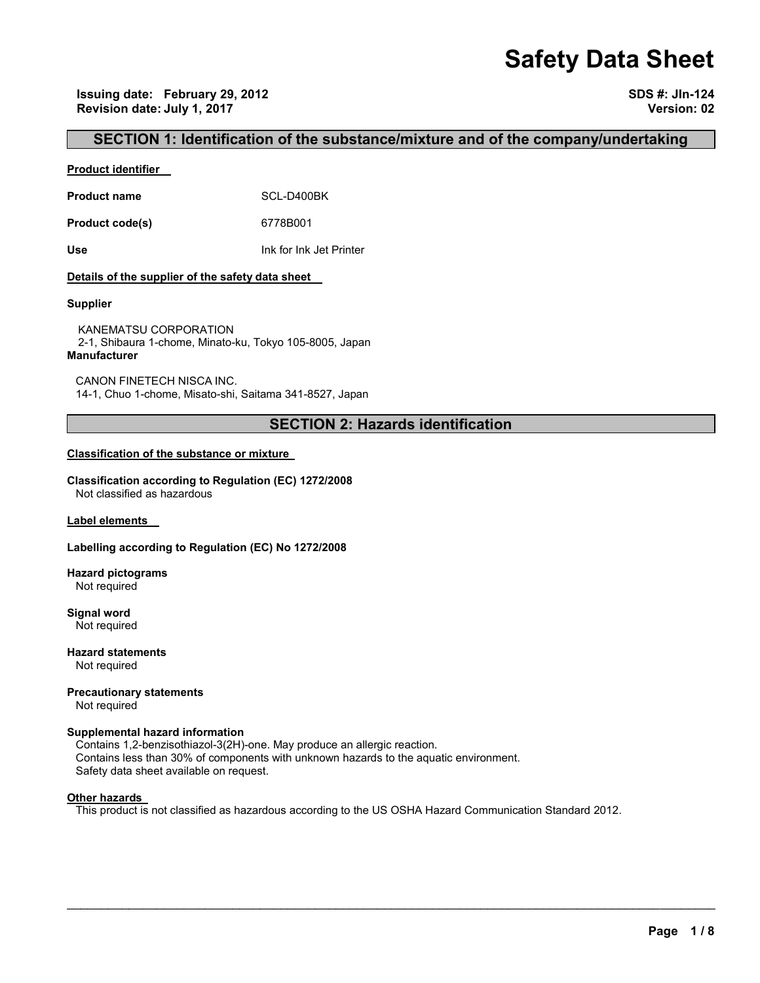# **Safety Data Sheet**

**Issuing date: February 29, 2012 SDS #: JIn-124 Revision date: July 1, 2017 Version: 02** 

### **SECTION 1: Identification of the substance/mixture and of the company/undertaking**

#### **Product identifier**

Product name **SCL-D400BK** 

**Product code(s)** 6778B001

**Use** Ink for Ink Jet Printer

#### **Details of the supplier of the safety data sheet**

#### **Supplier**

KANEMATSU CORPORATION 2-1, Shibaura 1-chome, Minato-ku, Tokyo 105-8005, Japan **Manufacturer**

CANON FINETECH NISCA INC. 14-1, Chuo 1-chome, Misato-shi, Saitama 341-8527, Japan

## **SECTION 2: Hazards identification**

#### **Classification of the substance or mixture**

**Classification according to Regulation (EC) 1272/2008** Not classified as hazardous

**Label elements** 

#### **Labelling according to Regulation (EC) No 1272/2008**

**Hazard pictograms** Not required

**Signal word** Not required

**Hazard statements** Not required

**Precautionary statements** 

Not required

#### **Supplemental hazard information**

Contains 1,2-benzisothiazol-3(2H)-one. May produce an allergic reaction. Contains less than 30% of components with unknown hazards to the aquatic environment. Safety data sheet available on request.

#### **Other hazards**

This product is not classified as hazardous according to the US OSHA Hazard Communication Standard 2012.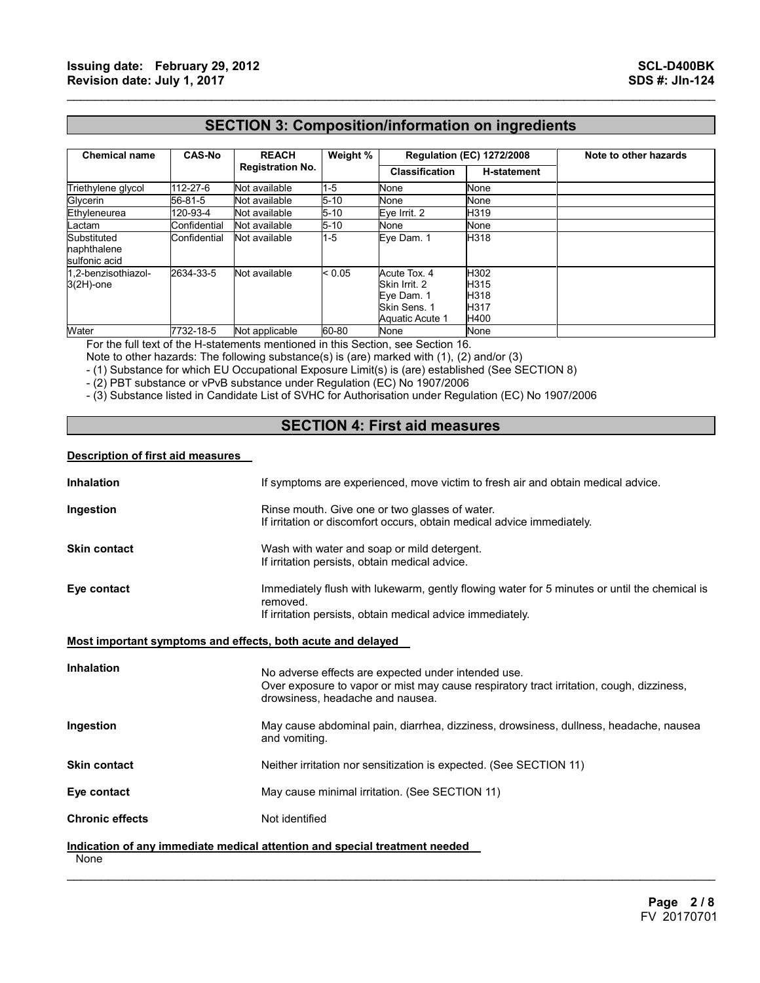## **SECTION 3: Composition/information on ingredients**

 $\mathcal{L}_\mathcal{L} = \{ \mathcal{L}_\mathcal{L} = \{ \mathcal{L}_\mathcal{L} = \{ \mathcal{L}_\mathcal{L} = \{ \mathcal{L}_\mathcal{L} = \{ \mathcal{L}_\mathcal{L} = \{ \mathcal{L}_\mathcal{L} = \{ \mathcal{L}_\mathcal{L} = \{ \mathcal{L}_\mathcal{L} = \{ \mathcal{L}_\mathcal{L} = \{ \mathcal{L}_\mathcal{L} = \{ \mathcal{L}_\mathcal{L} = \{ \mathcal{L}_\mathcal{L} = \{ \mathcal{L}_\mathcal{L} = \{ \mathcal{L}_\mathcal{$ 

| <b>Chemical name</b>                        | <b>CAS-No</b> | <b>REACH</b><br><b>Registration No.</b> | Weight % | <b>Regulation (EC) 1272/2008</b>                                               |                                      | Note to other hazards |
|---------------------------------------------|---------------|-----------------------------------------|----------|--------------------------------------------------------------------------------|--------------------------------------|-----------------------|
|                                             |               |                                         |          | <b>Classification</b>                                                          | <b>H-statement</b>                   |                       |
| Triethylene glycol                          | 112-27-6      | Not available                           | 1-5      | None                                                                           | None                                 |                       |
| Glycerin                                    | 56-81-5       | Not available                           | $5 - 10$ | None                                                                           | None                                 |                       |
| Ethyleneurea                                | 120-93-4      | Not available                           | $5 - 10$ | Eve Irrit. 2                                                                   | H319                                 |                       |
| Lactam                                      | Confidential  | Not available                           | 5-10     | None                                                                           | None                                 |                       |
| Substituted<br>naphthalene<br>sulfonic acid | Confidential  | Not available                           | 1-5      | Eye Dam. 1                                                                     | H318                                 |                       |
| 1.2-benzisothiazol-<br>$3(2H)$ -one         | 2634-33-5     | Not available                           | < 0.05   | Acute Tox. 4<br>Skin Irrit, 2<br>Eye Dam. 1<br>Skin Sens, 1<br>Aquatic Acute 1 | H302<br>H315<br>H318<br>H317<br>H400 |                       |
| Water                                       | 7732-18-5     | Not applicable                          | 60-80    | None                                                                           | None                                 |                       |

For the full text of the H-statements mentioned in this Section, see Section 16.

Note to other hazards: The following substance(s) is (are) marked with (1), (2) and/or (3)

- (1) Substance for which EU Occupational Exposure Limit(s) is (are) established (See SECTION 8)

- (2) PBT substance or vPvB substance under Regulation (EC) No 1907/2006

- (3) Substance listed in Candidate List of SVHC for Authorisation under Regulation (EC) No 1907/2006

## **SECTION 4: First aid measures**

#### **Description of first aid measures**

| <b>Inhalation</b>                                           | If symptoms are experienced, move victim to fresh air and obtain medical advice.                                                                                                    |  |
|-------------------------------------------------------------|-------------------------------------------------------------------------------------------------------------------------------------------------------------------------------------|--|
| Ingestion                                                   | Rinse mouth. Give one or two glasses of water.<br>If irritation or discomfort occurs, obtain medical advice immediately.                                                            |  |
| <b>Skin contact</b>                                         | Wash with water and soap or mild detergent.<br>If irritation persists, obtain medical advice.                                                                                       |  |
| Eye contact                                                 | Immediately flush with lukewarm, gently flowing water for 5 minutes or until the chemical is<br>removed.<br>If irritation persists, obtain medical advice immediately.              |  |
| Most important symptoms and effects, both acute and delayed |                                                                                                                                                                                     |  |
| <b>Inhalation</b>                                           | No adverse effects are expected under intended use.<br>Over exposure to vapor or mist may cause respiratory tract irritation, cough, dizziness,<br>drowsiness, headache and nausea. |  |
| Ingestion                                                   | May cause abdominal pain, diarrhea, dizziness, drowsiness, dullness, headache, nausea<br>and vomiting.                                                                              |  |
| <b>Skin contact</b>                                         | Neither irritation nor sensitization is expected. (See SECTION 11)                                                                                                                  |  |
| Eye contact                                                 | May cause minimal irritation. (See SECTION 11)                                                                                                                                      |  |
| <b>Chronic effects</b>                                      | Not identified                                                                                                                                                                      |  |
| None                                                        | Indication of any immediate medical attention and special treatment needed                                                                                                          |  |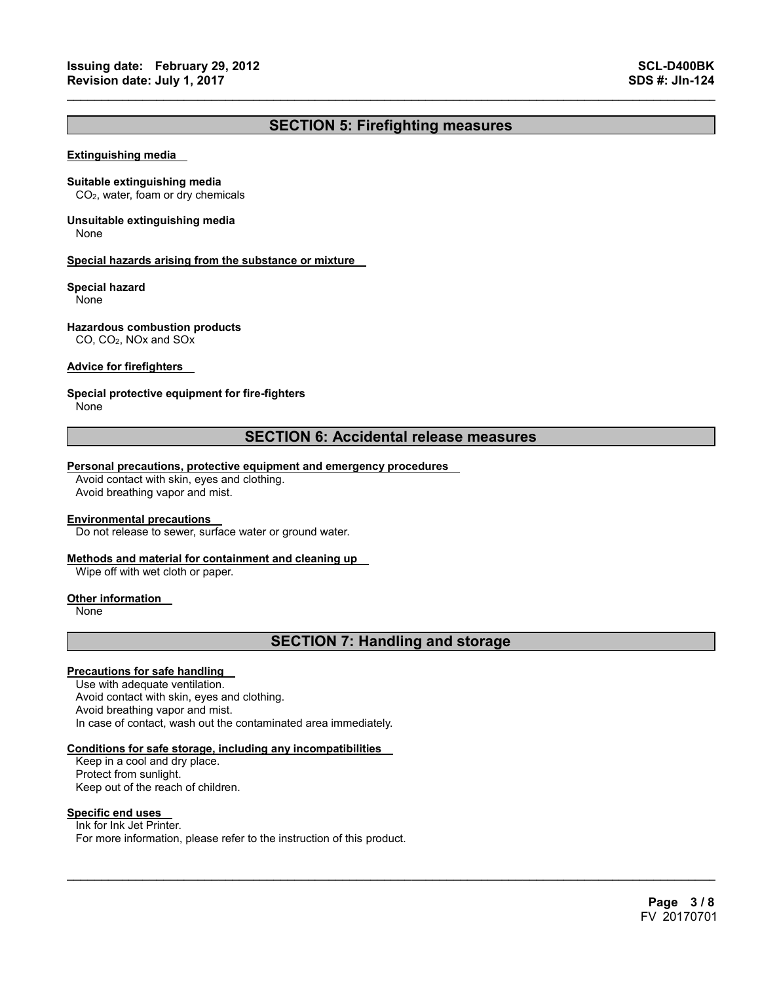## **SECTION 5: Firefighting measures**

 $\mathcal{L}_\mathcal{L} = \{ \mathcal{L}_\mathcal{L} = \{ \mathcal{L}_\mathcal{L} = \{ \mathcal{L}_\mathcal{L} = \{ \mathcal{L}_\mathcal{L} = \{ \mathcal{L}_\mathcal{L} = \{ \mathcal{L}_\mathcal{L} = \{ \mathcal{L}_\mathcal{L} = \{ \mathcal{L}_\mathcal{L} = \{ \mathcal{L}_\mathcal{L} = \{ \mathcal{L}_\mathcal{L} = \{ \mathcal{L}_\mathcal{L} = \{ \mathcal{L}_\mathcal{L} = \{ \mathcal{L}_\mathcal{L} = \{ \mathcal{L}_\mathcal{$ 

#### **Extinguishing media**

#### **Suitable extinguishing media**

CO2, water, foam or dry chemicals

## **Unsuitable extinguishing media**

None

#### **Special hazards arising from the substance or mixture**

#### **Special hazard**

None

#### **Hazardous combustion products**

CO, CO2, NOx and SOx

#### **Advice for firefighters**

#### **Special protective equipment for fire-fighters**

None

### **SECTION 6: Accidental release measures**

#### **Personal precautions, protective equipment and emergency procedures**

Avoid contact with skin, eyes and clothing. Avoid breathing vapor and mist.

#### **Environmental precautions**

Do not release to sewer, surface water or ground water.

#### **Methods and material for containment and cleaning up**

Wipe off with wet cloth or paper.

#### **Other information**

None

## **SECTION 7: Handling and storage**

 $\mathcal{L}_\mathcal{L} = \mathcal{L}_\mathcal{L} = \mathcal{L}_\mathcal{L} = \mathcal{L}_\mathcal{L} = \mathcal{L}_\mathcal{L} = \mathcal{L}_\mathcal{L} = \mathcal{L}_\mathcal{L} = \mathcal{L}_\mathcal{L} = \mathcal{L}_\mathcal{L} = \mathcal{L}_\mathcal{L} = \mathcal{L}_\mathcal{L} = \mathcal{L}_\mathcal{L} = \mathcal{L}_\mathcal{L} = \mathcal{L}_\mathcal{L} = \mathcal{L}_\mathcal{L} = \mathcal{L}_\mathcal{L} = \mathcal{L}_\mathcal{L}$ 

#### **Precautions for safe handling**

Use with adequate ventilation. Avoid contact with skin, eyes and clothing. Avoid breathing vapor and mist. In case of contact, wash out the contaminated area immediately.

#### **Conditions for safe storage, including any incompatibilities**

Keep in a cool and dry place. Protect from sunlight. Keep out of the reach of children.

#### **Specific end uses**

Ink for Ink Jet Printer. For more information, please refer to the instruction of this product.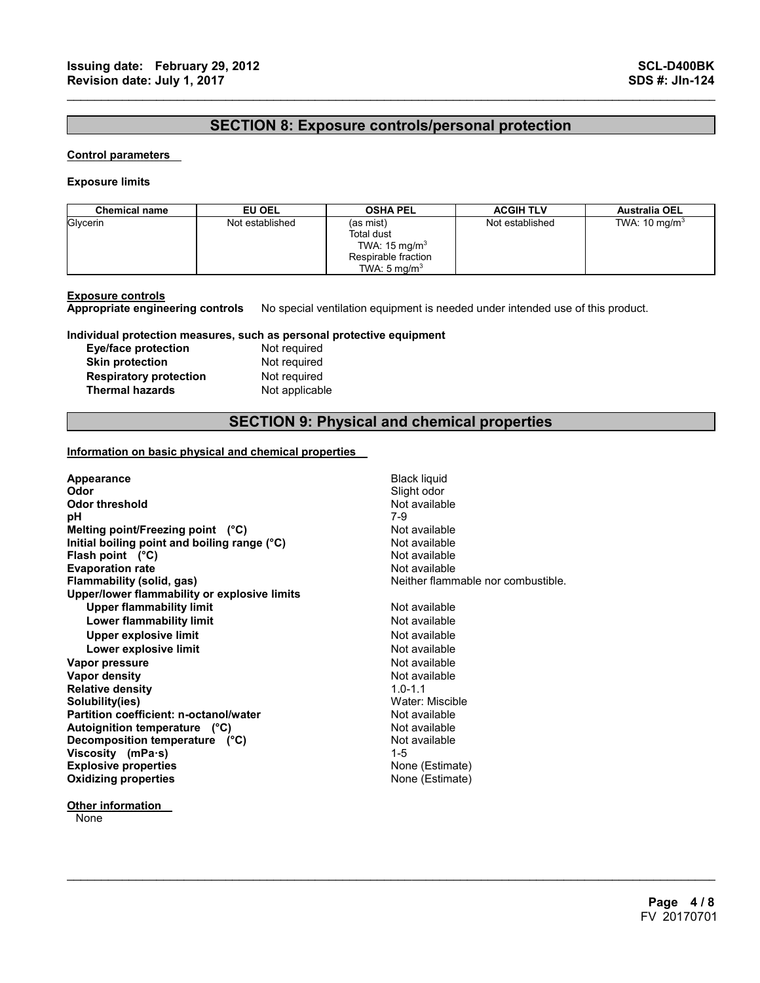## **SECTION 8: Exposure controls/personal protection**

 $\mathcal{L}_\mathcal{L} = \{ \mathcal{L}_\mathcal{L} = \{ \mathcal{L}_\mathcal{L} = \{ \mathcal{L}_\mathcal{L} = \{ \mathcal{L}_\mathcal{L} = \{ \mathcal{L}_\mathcal{L} = \{ \mathcal{L}_\mathcal{L} = \{ \mathcal{L}_\mathcal{L} = \{ \mathcal{L}_\mathcal{L} = \{ \mathcal{L}_\mathcal{L} = \{ \mathcal{L}_\mathcal{L} = \{ \mathcal{L}_\mathcal{L} = \{ \mathcal{L}_\mathcal{L} = \{ \mathcal{L}_\mathcal{L} = \{ \mathcal{L}_\mathcal{$ 

#### **Control parameters**

#### **Exposure limits**

| <b>Chemical name</b> | EU OEL          | <b>OSHA PEL</b>                                                                                       | <b>ACGIH TLV</b> | <b>Australia OEL</b>     |
|----------------------|-----------------|-------------------------------------------------------------------------------------------------------|------------------|--------------------------|
| Glycerin             | Not established | (as mist)<br>Total dust<br>TWA: $15 \text{ mg/m}^3$<br>Respirable fraction<br>TWA: $5 \text{ ma/m}^3$ | Not established  | TWA: $10 \text{ mg/m}^3$ |

**Exposure controls Appropriate engineering controls** No special ventilation equipment is needed under intended use of this product.

#### **Individual protection measures, such as personal protective equipment**

| Eye/face protection           |
|-------------------------------|
| <b>Skin protection</b>        |
| <b>Respiratory protection</b> |
| <b>Thermal hazards</b>        |

**Not required Not required Not required Not applicable** 

## **SECTION 9: Physical and chemical properties**

 $\mathcal{L}_\mathcal{L} = \mathcal{L}_\mathcal{L} = \mathcal{L}_\mathcal{L} = \mathcal{L}_\mathcal{L} = \mathcal{L}_\mathcal{L} = \mathcal{L}_\mathcal{L} = \mathcal{L}_\mathcal{L} = \mathcal{L}_\mathcal{L} = \mathcal{L}_\mathcal{L} = \mathcal{L}_\mathcal{L} = \mathcal{L}_\mathcal{L} = \mathcal{L}_\mathcal{L} = \mathcal{L}_\mathcal{L} = \mathcal{L}_\mathcal{L} = \mathcal{L}_\mathcal{L} = \mathcal{L}_\mathcal{L} = \mathcal{L}_\mathcal{L}$ 

#### **Information on basic physical and chemical properties**

| Appearance                                   | <b>Black liquid</b>                |
|----------------------------------------------|------------------------------------|
| Odor                                         | Slight odor                        |
| Odor threshold                               | Not available                      |
| рH                                           | 7-9                                |
| Melting point/Freezing point $(^{\circ}C)$   | Not available                      |
| Initial boiling point and boiling range (°C) | Not available                      |
| Flash point $(^{\circ}C)$                    | Not available                      |
| <b>Evaporation rate</b>                      | Not available                      |
| Flammability (solid, gas)                    | Neither flammable nor combustible. |
| Upper/lower flammability or explosive limits |                                    |
| <b>Upper flammability limit</b>              | Not available                      |
| Lower flammability limit                     | Not available                      |
| Upper explosive limit                        | Not available                      |
| Lower explosive limit                        | Not available                      |
| Vapor pressure                               | Not available                      |
| Vapor density                                | Not available                      |
| <b>Relative density</b>                      | $1.0 - 1.1$                        |
| Solubility(ies)                              | Water: Miscible                    |
| Partition coefficient: n-octanol/water       | Not available                      |
| Autoignition temperature (°C)                | Not available                      |
| Decomposition temperature (°C)               | Not available                      |
| Viscosity (mPa-s)                            | $1 - 5$                            |
| <b>Explosive properties</b>                  | None (Estimate)                    |
| <b>Oxidizing properties</b>                  | None (Estimate)                    |
|                                              |                                    |

**Other information** 

**None**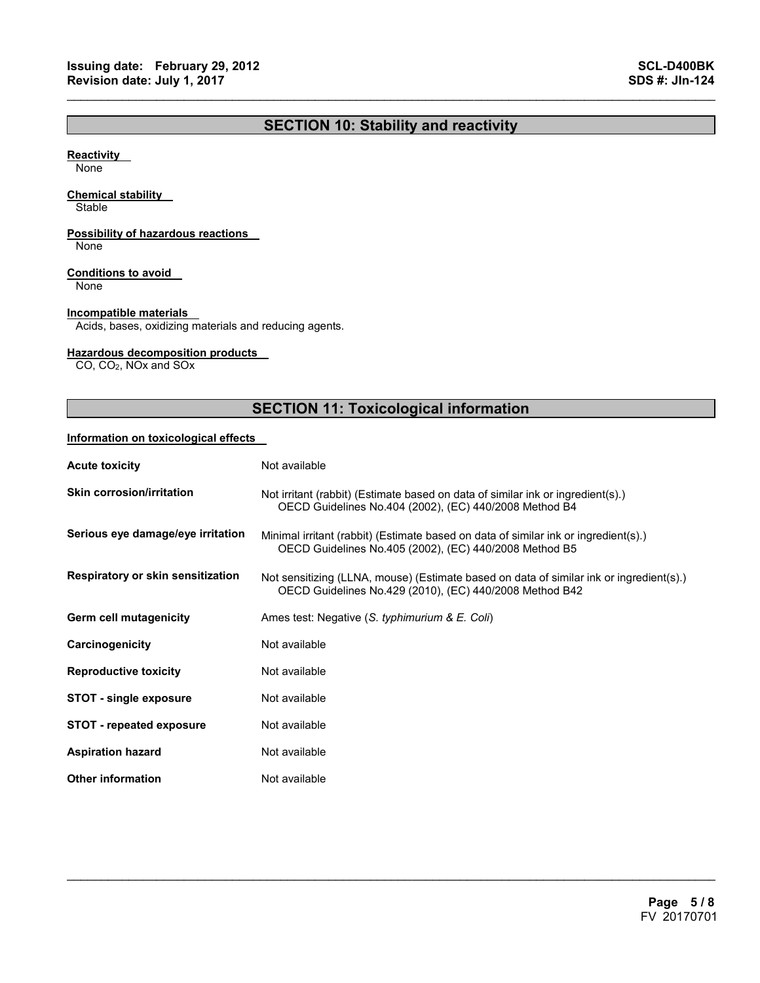## **SECTION 10: Stability and reactivity**

 $\mathcal{L}_\mathcal{L} = \{ \mathcal{L}_\mathcal{L} = \{ \mathcal{L}_\mathcal{L} = \{ \mathcal{L}_\mathcal{L} = \{ \mathcal{L}_\mathcal{L} = \{ \mathcal{L}_\mathcal{L} = \{ \mathcal{L}_\mathcal{L} = \{ \mathcal{L}_\mathcal{L} = \{ \mathcal{L}_\mathcal{L} = \{ \mathcal{L}_\mathcal{L} = \{ \mathcal{L}_\mathcal{L} = \{ \mathcal{L}_\mathcal{L} = \{ \mathcal{L}_\mathcal{L} = \{ \mathcal{L}_\mathcal{L} = \{ \mathcal{L}_\mathcal{$ 

#### **Reactivity**

None

#### **Chemical stability**

**Stable** 

#### **Possibility of hazardous reactions**

None

#### **Conditions to avoid**

None

#### **Incompatible materials**

Acids, bases, oxidizing materials and reducing agents.

#### **Hazardous decomposition products**

CO, CO2, NOx and SOx

## **SECTION 11: Toxicological information**

#### **Information on toxicological effects**

| <b>Acute toxicity</b>             | Not available                                                                                                                                      |
|-----------------------------------|----------------------------------------------------------------------------------------------------------------------------------------------------|
| <b>Skin corrosion/irritation</b>  | Not irritant (rabbit) (Estimate based on data of similar ink or ingredient(s).)<br>OECD Guidelines No.404 (2002), (EC) 440/2008 Method B4          |
| Serious eye damage/eye irritation | Minimal irritant (rabbit) (Estimate based on data of similar ink or ingredient(s).)<br>OECD Guidelines No.405 (2002), (EC) 440/2008 Method B5      |
| Respiratory or skin sensitization | Not sensitizing (LLNA, mouse) (Estimate based on data of similar ink or ingredient(s).)<br>OECD Guidelines No.429 (2010), (EC) 440/2008 Method B42 |
| Germ cell mutagenicity            | Ames test: Negative (S. typhimurium & E. Coli)                                                                                                     |
| Carcinogenicity                   | Not available                                                                                                                                      |
| <b>Reproductive toxicity</b>      | Not available                                                                                                                                      |
| <b>STOT - single exposure</b>     | Not available                                                                                                                                      |
| <b>STOT - repeated exposure</b>   | Not available                                                                                                                                      |
| <b>Aspiration hazard</b>          | Not available                                                                                                                                      |
| <b>Other information</b>          | Not available                                                                                                                                      |

 $\mathcal{L}_\mathcal{L} = \mathcal{L}_\mathcal{L} = \mathcal{L}_\mathcal{L} = \mathcal{L}_\mathcal{L} = \mathcal{L}_\mathcal{L} = \mathcal{L}_\mathcal{L} = \mathcal{L}_\mathcal{L} = \mathcal{L}_\mathcal{L} = \mathcal{L}_\mathcal{L} = \mathcal{L}_\mathcal{L} = \mathcal{L}_\mathcal{L} = \mathcal{L}_\mathcal{L} = \mathcal{L}_\mathcal{L} = \mathcal{L}_\mathcal{L} = \mathcal{L}_\mathcal{L} = \mathcal{L}_\mathcal{L} = \mathcal{L}_\mathcal{L}$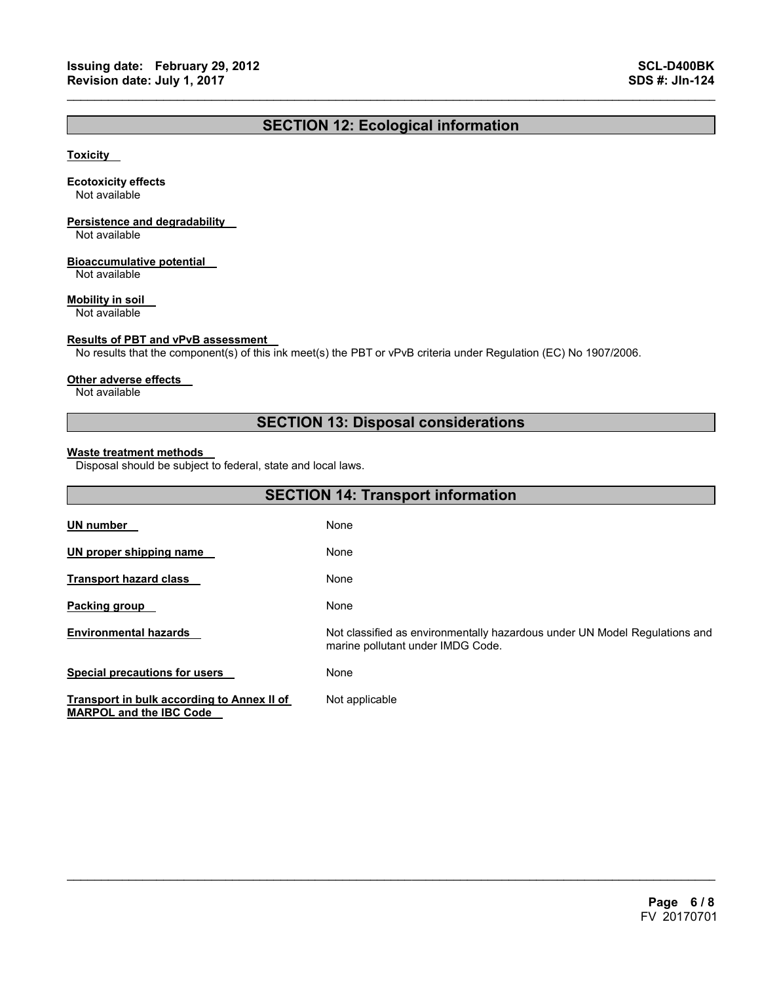## **SECTION 12: Ecological information**

 $\mathcal{L}_\mathcal{L} = \{ \mathcal{L}_\mathcal{L} = \{ \mathcal{L}_\mathcal{L} = \{ \mathcal{L}_\mathcal{L} = \{ \mathcal{L}_\mathcal{L} = \{ \mathcal{L}_\mathcal{L} = \{ \mathcal{L}_\mathcal{L} = \{ \mathcal{L}_\mathcal{L} = \{ \mathcal{L}_\mathcal{L} = \{ \mathcal{L}_\mathcal{L} = \{ \mathcal{L}_\mathcal{L} = \{ \mathcal{L}_\mathcal{L} = \{ \mathcal{L}_\mathcal{L} = \{ \mathcal{L}_\mathcal{L} = \{ \mathcal{L}_\mathcal{$ 

#### **Toxicity**

#### **Ecotoxicity effects**

Not available

## **Persistence and degradability**

Not available

#### **Bioaccumulative potential**

Not available

#### **Mobility in soil**

Not available

#### **Results of PBT and vPvB assessment**

No results that the component(s) of this ink meet(s) the PBT or vPvB criteria under Regulation (EC) No 1907/2006.

#### **Other adverse effects**

Not available

## **SECTION 13: Disposal considerations**

#### **Waste treatment methods**

Disposal should be subject to federal, state and local laws.

| <b>SECTION 14: Transport information</b>                                     |                                                                                                                 |  |
|------------------------------------------------------------------------------|-----------------------------------------------------------------------------------------------------------------|--|
| UN number                                                                    | None                                                                                                            |  |
| UN proper shipping name                                                      | None                                                                                                            |  |
| <b>Transport hazard class</b>                                                | None                                                                                                            |  |
| <b>Packing group</b>                                                         | None                                                                                                            |  |
| <b>Environmental hazards</b>                                                 | Not classified as environmentally hazardous under UN Model Regulations and<br>marine pollutant under IMDG Code. |  |
| <b>Special precautions for users</b>                                         | None                                                                                                            |  |
| Transport in bulk according to Annex II of<br><b>MARPOL and the IBC Code</b> | Not applicable                                                                                                  |  |

 $\mathcal{L}_\mathcal{L} = \mathcal{L}_\mathcal{L} = \mathcal{L}_\mathcal{L} = \mathcal{L}_\mathcal{L} = \mathcal{L}_\mathcal{L} = \mathcal{L}_\mathcal{L} = \mathcal{L}_\mathcal{L} = \mathcal{L}_\mathcal{L} = \mathcal{L}_\mathcal{L} = \mathcal{L}_\mathcal{L} = \mathcal{L}_\mathcal{L} = \mathcal{L}_\mathcal{L} = \mathcal{L}_\mathcal{L} = \mathcal{L}_\mathcal{L} = \mathcal{L}_\mathcal{L} = \mathcal{L}_\mathcal{L} = \mathcal{L}_\mathcal{L}$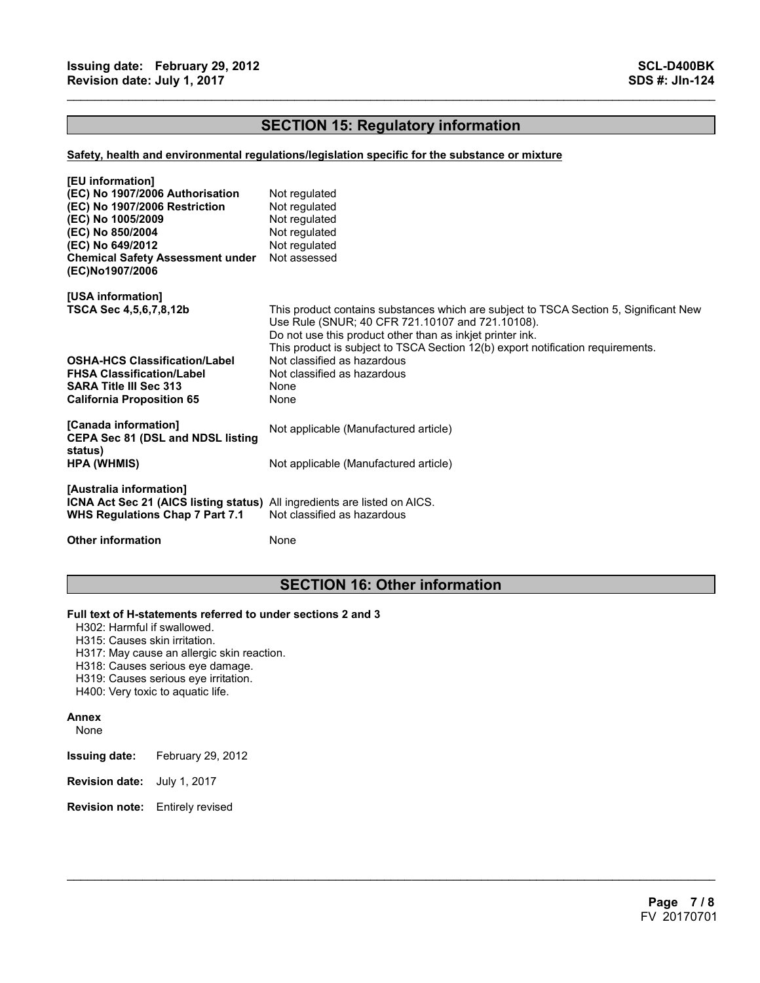## **SECTION 15: Regulatory information**

 $\mathcal{L}_\mathcal{L} = \{ \mathcal{L}_\mathcal{L} = \{ \mathcal{L}_\mathcal{L} = \{ \mathcal{L}_\mathcal{L} = \{ \mathcal{L}_\mathcal{L} = \{ \mathcal{L}_\mathcal{L} = \{ \mathcal{L}_\mathcal{L} = \{ \mathcal{L}_\mathcal{L} = \{ \mathcal{L}_\mathcal{L} = \{ \mathcal{L}_\mathcal{L} = \{ \mathcal{L}_\mathcal{L} = \{ \mathcal{L}_\mathcal{L} = \{ \mathcal{L}_\mathcal{L} = \{ \mathcal{L}_\mathcal{L} = \{ \mathcal{L}_\mathcal{$ 

#### **Safety, health and environmental regulations/legislation specific for the substance or mixture**

| [EU information]<br>(EC) No 1907/2006 Authorisation<br>(EC) No 1907/2006 Restriction<br>(EC) No 1005/2009<br>(EC) No 850/2004<br>(EC) No 649/2012<br><b>Chemical Safety Assessment under</b><br>(EC)No1907/2006 | Not regulated<br>Not regulated<br>Not regulated<br>Not regulated<br>Not regulated<br>Not assessed                                                                                                                                                                                                                        |
|-----------------------------------------------------------------------------------------------------------------------------------------------------------------------------------------------------------------|--------------------------------------------------------------------------------------------------------------------------------------------------------------------------------------------------------------------------------------------------------------------------------------------------------------------------|
| [USA information]<br>TSCA Sec 4,5,6,7,8,12b<br><b>OSHA-HCS Classification/Label</b>                                                                                                                             | This product contains substances which are subject to TSCA Section 5, Significant New<br>Use Rule (SNUR; 40 CFR 721.10107 and 721.10108).<br>Do not use this product other than as inkjet printer ink.<br>This product is subject to TSCA Section 12(b) export notification requirements.<br>Not classified as hazardous |
| <b>FHSA Classification/Label</b><br><b>SARA Title III Sec 313</b><br><b>California Proposition 65</b>                                                                                                           | Not classified as hazardous<br>None<br>None                                                                                                                                                                                                                                                                              |
| [Canada information]<br><b>CEPA Sec 81 (DSL and NDSL listing</b><br>status)                                                                                                                                     | Not applicable (Manufactured article)                                                                                                                                                                                                                                                                                    |
| <b>HPA (WHMIS)</b>                                                                                                                                                                                              | Not applicable (Manufactured article)                                                                                                                                                                                                                                                                                    |
| [Australia information]<br><b>ICNA Act Sec 21 (AICS listing status)</b> All ingredients are listed on AICS.<br>WHS Regulations Chap 7 Part 7.1                                                                  | Not classified as hazardous                                                                                                                                                                                                                                                                                              |
| <b>Other information</b>                                                                                                                                                                                        | None                                                                                                                                                                                                                                                                                                                     |

## **SECTION 16: Other information**

 $\mathcal{L}_\mathcal{L} = \mathcal{L}_\mathcal{L} = \mathcal{L}_\mathcal{L} = \mathcal{L}_\mathcal{L} = \mathcal{L}_\mathcal{L} = \mathcal{L}_\mathcal{L} = \mathcal{L}_\mathcal{L} = \mathcal{L}_\mathcal{L} = \mathcal{L}_\mathcal{L} = \mathcal{L}_\mathcal{L} = \mathcal{L}_\mathcal{L} = \mathcal{L}_\mathcal{L} = \mathcal{L}_\mathcal{L} = \mathcal{L}_\mathcal{L} = \mathcal{L}_\mathcal{L} = \mathcal{L}_\mathcal{L} = \mathcal{L}_\mathcal{L}$ 

#### **Full text of H-statements referred to under sections 2 and 3**

- H302: Harmful if swallowed.
- H315: Causes skin irritation.
- H317: May cause an allergic skin reaction.
- H318: Causes serious eye damage.
- H319: Causes serious eye irritation.
- H400: Very toxic to aquatic life.

#### **Annex**

None

- **Issuing date:** February 29, 2012
- **Revision date:** July 1, 2017
- **Revision note:** Entirely revised